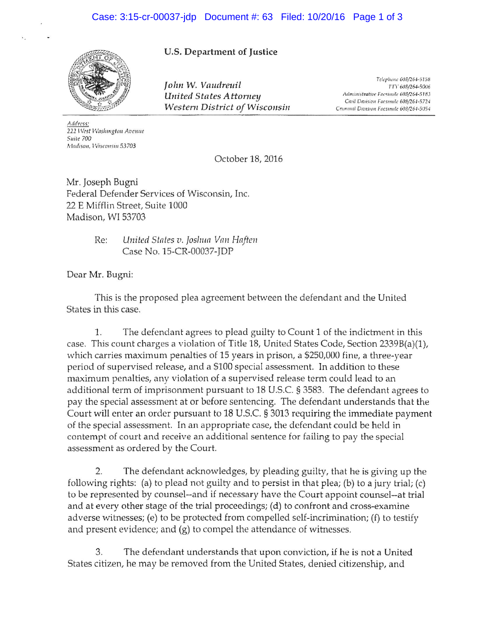

## U.S. Department of Justice

John W. Vaudreuil United States Attorney Western District of Wisconsin

Telephone 608/264-5158 TTY 608/264-5006 Administrative Facsimile 608/264-5183 Civil Drvision Facsimile 608/264-5724 Criminal Division Facsimile 608/264-5054

Address: 222 West Washington Avenue Suite 700 Madison, Wisconsin 53703

October 18, 2016

Mr. Joseph Bugni Federal Defender Services of Wisconsin, Inc. 22 E Mifflin Street, Suite 1000 Madison, WI 53703

> Re: United States v. Joshua Van Haften Case No. 15-CR-00037-JDP

Dear Mr. Bugni:

This is the proposed plea agreement between the defendant and the United States in this case.

 $1.$ The defendant agrees to plead guilty to Count 1 of the indictment in this case. This count charges a violation of Title 18, United States Code, Section 2339B(a)(1), which carries maximum penalties of 15 years in prison, a \$250,000 fine, a three-year period of supervised release, and a \$100 special assessment. In addition to these maximum penalties, any violation of a supervised release term could lead to an additional term of imprisonment pursuant to 18 U.S.C. § 3583. The defendant agrees to pay the special assessment at or before sentencing. The defendant understands that the Court will enter an order pursuant to 18 U.S.C. § 3013 requiring the immediate payment of the special assessment. In an appropriate case, the defendant could be held in contempt of court and receive an additional sentence for failing to pay the special assessment as ordered by the Court.

The defendant acknowledges, by pleading guilty, that he is giving up the  $2.$ following rights: (a) to plead not guilty and to persist in that plea; (b) to a jury trial; (c) to be represented by counsel-and if necessary have the Court appoint counsel--at trial and at every other stage of the trial proceedings; (d) to confront and cross-examine adverse witnesses; (e) to be protected from compelled self-incrimination; (f) to testify and present evidence; and  $(g)$  to compel the attendance of witnesses.

3. The defendant understands that upon conviction, if he is not a United States citizen, he may be removed from the United States, denied citizenship, and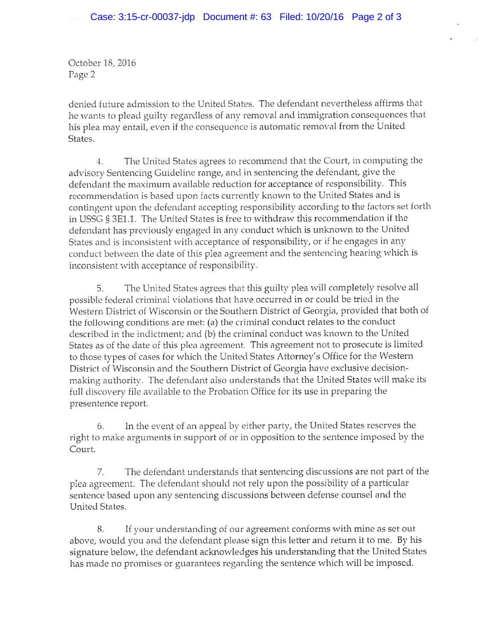October 18, 2016 Page 2

denied future admission to the United States. The defendant nevertheless affirms that he wants to plead guilty regardless of any removal and immigration consequences that his plea may entail, even if the consequence is automatic removal from the United States.

The United States agrees to recommend that the Court, in computing the  $4.$ advisory Sentencing Guideline range, and in sentencing the defendant, give the defendant the maximum available reduction for acceptance of responsibility. This recommendation is based upon facts currently known to the United States and is contingent upon the defendant accepting responsibility according to the factors set forth in USSG § 3E1.1. The United States is free to withdraw this recommendation if the defendant has previously engaged in any conduct which is unknown to the United States and is inconsistent with acceptance of responsibility, or if he engages in any conduct between the date of this plea agreement and the sentencing hearing which is inconsistent with acceptance of responsibility.

The United States agrees that this guilty plea will completely resolve all 5. possible federal criminal violations that have occurred in or could be tried in the Western District of Wisconsin or the Southern District of Georgia, provided that both of the following conditions are met: (a) the criminal conduct relates to the conduct described in the indictment; and (b) the criminal conduct was known to the United States as of the date of this plea agreement. This agreement not to prosecute is limited to those types of cases for which the United States Attorney's Office for the Western District of Wisconsin and the Southern District of Georgia have exclusive decisionmaking authority. The defendant also understands that the United States will make its full discovery file available to the Probation Office for its use in preparing the presentence report.

In the event of an appeal by either party, the United States reserves the 6. right to make arguments in support of or in opposition to the sentence imposed by the Court.

The defendant understands that sentencing discussions are not part of the 7. plea agreement. The defendant should not rely upon the possibility of a particular sentence based upon any sentencing discussions between defense counsel and the United States.

If your understanding of our agreement conforms with mine as set out 8. above, would you and the defendant please sign this letter and return it to me. By his signature below, the defendant acknowledges his understanding that the United States has made no promises or guarantees regarding the sentence which will be imposed.